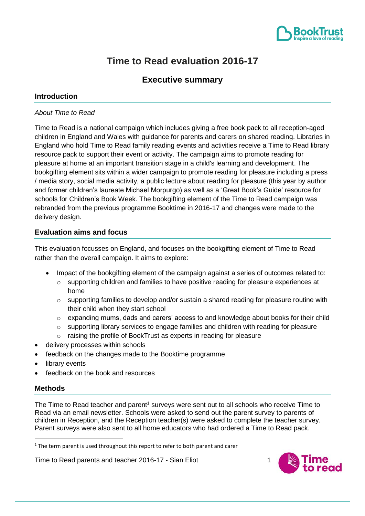

# **Time to Read evaluation 2016-17**

## **Executive summary**

## **Introduction**

#### *About Time to Read*

Time to Read is a national campaign which includes giving a free book pack to all reception-aged children in England and Wales with guidance for parents and carers on shared reading. Libraries in England who hold Time to Read family reading events and activities receive a Time to Read library resource pack to support their event or activity. The campaign aims to promote reading for pleasure at home at an important transition stage in a child's learning and development. The bookgifting element sits within a wider campaign to promote reading for pleasure including a press / media story, social media activity, a public lecture about reading for pleasure (this year by author and former children's laureate Michael Morpurgo) as well as a 'Great Book's Guide' resource for schools for Children's Book Week. The bookgifting element of the Time to Read campaign was rebranded from the previous programme Booktime in 2016-17 and changes were made to the delivery design.

#### **Evaluation aims and focus**

This evaluation focusses on England, and focuses on the bookgifting element of Time to Read rather than the overall campaign. It aims to explore:

- Impact of the bookgifting element of the campaign against a series of outcomes related to:
	- o supporting children and families to have positive reading for pleasure experiences at home
	- $\circ$  supporting families to develop and/or sustain a shared reading for pleasure routine with their child when they start school
	- $\circ$  expanding mums, dads and carers' access to and knowledge about books for their child
	- o supporting library services to engage families and children with reading for pleasure
	- o raising the profile of BookTrust as experts in reading for pleasure
- delivery processes within schools
- feedback on the changes made to the Booktime programme
- library events
- feedback on the book and resources

#### **Methods**

**.** 

The Time to Read teacher and parent<sup>1</sup> surveys were sent out to all schools who receive Time to Read via an email newsletter. Schools were asked to send out the parent survey to parents of children in Reception, and the Reception teacher(s) were asked to complete the teacher survey. Parent surveys were also sent to all home educators who had ordered a Time to Read pack.



 $1$  The term parent is used throughout this report to refer to both parent and carer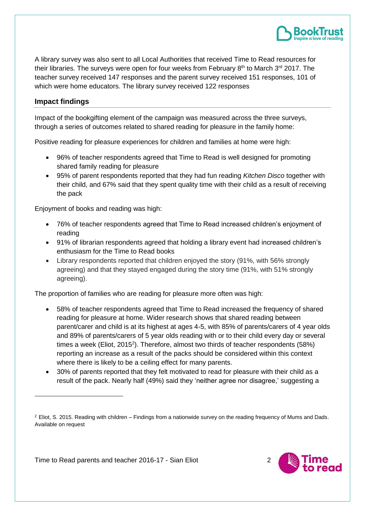

A library survey was also sent to all Local Authorities that received Time to Read resources for their libraries. The surveys were open for four weeks from February  $8<sup>th</sup>$  to March  $3<sup>rd</sup>$  2017. The teacher survey received 147 responses and the parent survey received 151 responses, 101 of which were home educators. The library survey received 122 responses

## **Impact findings**

**.** 

Impact of the bookgifting element of the campaign was measured across the three surveys, through a series of outcomes related to shared reading for pleasure in the family home:

Positive reading for pleasure experiences for children and families at home were high:

- 96% of teacher respondents agreed that Time to Read is well designed for promoting shared family reading for pleasure
- 95% of parent respondents reported that they had fun reading *Kitchen Disco* together with their child, and 67% said that they spent quality time with their child as a result of receiving the pack

Enjoyment of books and reading was high:

- 76% of teacher respondents agreed that Time to Read increased children's enjoyment of reading
- 91% of librarian respondents agreed that holding a library event had increased children's enthusiasm for the Time to Read books
- Library respondents reported that children enjoved the story (91%, with 56% strongly agreeing) and that they stayed engaged during the story time (91%, with 51% strongly agreeing).

The proportion of families who are reading for pleasure more often was high:

- 58% of teacher respondents agreed that Time to Read increased the frequency of shared reading for pleasure at home. Wider research shows that shared reading between parent/carer and child is at its highest at ages 4-5, with 85% of parents/carers of 4 year olds and 89% of parents/carers of 5 year olds reading with or to their child every day or several times a week (Eliot, 2015<sup>2</sup>). Therefore, almost two thirds of teacher respondents (58%) reporting an increase as a result of the packs should be considered within this context where there is likely to be a ceiling effect for many parents.
- 30% of parents reported that they felt motivated to read for pleasure with their child as a result of the pack. Nearly half (49%) said they 'neither agree nor disagree,' suggesting a



 $2$  Eliot, S. 2015. Reading with children – Findings from a nationwide survey on the reading frequency of Mums and Dads. Available on request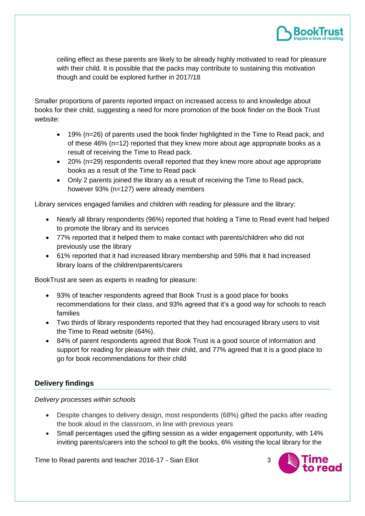

ceiling effect as these parents are likely to be already highly motivated to read for pleasure with their child. It is possible that the packs may contribute to sustaining this motivation though and could be explored further in 2017/18

Smaller proportions of parents reported impact on increased access to and knowledge about books for their child, suggesting a need for more promotion of the book finder on the Book Trust website:

- 19% (n=26) of parents used the book finder highlighted in the Time to Read pack, and of these 46% (n=12) reported that they knew more about age appropriate books as a result of receiving the Time to Read pack.
- 20% (n=29) respondents overall reported that they knew more about age appropriate books as a result of the Time to Read pack
- Only 2 parents joined the library as a result of receiving the Time to Read pack, however 93% (n=127) were already members

Library services engaged families and children with reading for pleasure and the library:

- Nearly all library respondents (96%) reported that holding a Time to Read event had helped to promote the library and its services
- 77% reported that it helped them to make contact with parents/children who did not previously use the library
- 61% reported that it had increased library membership and 59% that it had increased library loans of the children/parents/carers

BookTrust are seen as experts in reading for pleasure:

- 93% of teacher respondents agreed that Book Trust is a good place for books recommendations for their class, and 93% agreed that it's a good way for schools to reach families
- Two thirds of library respondents reported that they had encouraged library users to visit the Time to Read website (64%).
- 84% of parent respondents agreed that Book Trust is a good source of information and support for reading for pleasure with their child, and 77% agreed that it is a good place to go for book recommendations for their child

## **Delivery findings**

*Delivery processes within schools*

- Despite changes to delivery design, most respondents (68%) gifted the packs after reading the book aloud in the classroom, in line with previous years
- Small percentages used the gifting session as a wider engagement opportunity, with 14% inviting parents/carers into the school to gift the books, 6% visiting the local library for the

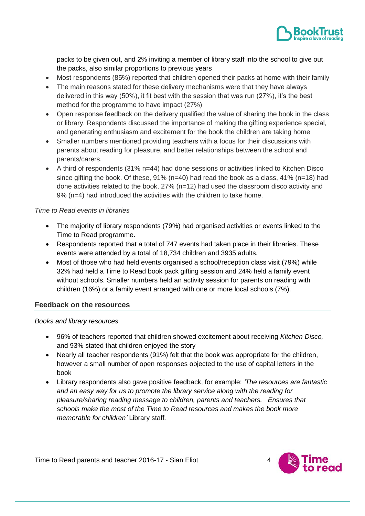

packs to be given out, and 2% inviting a member of library staff into the school to give out the packs, also similar proportions to previous years

- Most respondents (85%) reported that children opened their packs at home with their family
- The main reasons stated for these delivery mechanisms were that they have always delivered in this way (50%), it fit best with the session that was run (27%), it's the best method for the programme to have impact (27%)
- Open response feedback on the delivery qualified the value of sharing the book in the class or library. Respondents discussed the importance of making the gifting experience special, and generating enthusiasm and excitement for the book the children are taking home
- Smaller numbers mentioned providing teachers with a focus for their discussions with parents about reading for pleasure, and better relationships between the school and parents/carers.
- A third of respondents (31% n=44) had done sessions or activities linked to Kitchen Disco since gifting the book. Of these,  $91\%$  (n=40) had read the book as a class,  $41\%$  (n=18) had done activities related to the book, 27% (n=12) had used the classroom disco activity and 9% (n=4) had introduced the activities with the children to take home.

#### *Time to Read events in libraries*

- The majority of library respondents (79%) had organised activities or events linked to the Time to Read programme.
- Respondents reported that a total of 747 events had taken place in their libraries. These events were attended by a total of 18,734 children and 3935 adults.
- Most of those who had held events organised a school/reception class visit (79%) while 32% had held a Time to Read book pack gifting session and 24% held a family event without schools. Smaller numbers held an activity session for parents on reading with children (16%) or a family event arranged with one or more local schools (7%).

#### **Feedback on the resources**

#### *Books and library resources*

- 96% of teachers reported that children showed excitement about receiving *Kitchen Disco,*  and 93% stated that children enjoyed the story
- Nearly all teacher respondents (91%) felt that the book was appropriate for the children, however a small number of open responses objected to the use of capital letters in the book
- Library respondents also gave positive feedback, for example: *'The resources are fantastic and an easy way for us to promote the library service along with the reading for pleasure/sharing reading message to children, parents and teachers. Ensures that schools make the most of the Time to Read resources and makes the book more memorable for children'* Library staff*.*

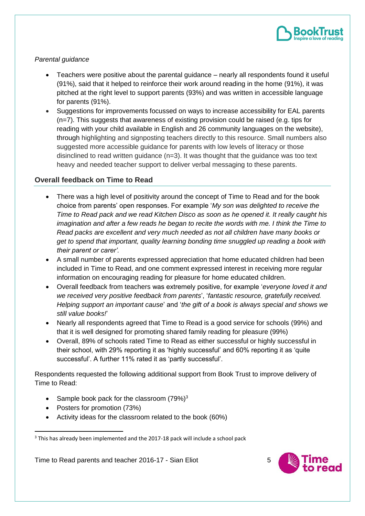

#### *Parental guidance*

- Teachers were positive about the parental guidance nearly all respondents found it useful (91%), said that it helped to reinforce their work around reading in the home (91%), it was pitched at the right level to support parents (93%) and was written in accessible language for parents (91%).
- Suggestions for improvements focussed on ways to increase accessibility for EAL parents (n=7). This suggests that awareness of existing provision could be raised (e.g. tips for reading with your child available in English and 26 community languages on the website), through highlighting and signposting teachers directly to this resource. Small numbers also suggested more accessible guidance for parents with low levels of literacy or those disinclined to read written guidance  $(n=3)$ . It was thought that the guidance was too text heavy and needed teacher support to deliver verbal messaging to these parents.

## **Overall feedback on Time to Read**

- There was a high level of positivity around the concept of Time to Read and for the book choice from parents' open responses. For example '*My son was delighted to receive the Time to Read pack and we read Kitchen Disco as soon as he opened it. It really caught his imagination and after a few reads he began to recite the words with me. I think the Time to Read packs are excellent and very much needed as not all children have many books or get to spend that important, quality learning bonding time snuggled up reading a book with their parent or carer'.*
- A small number of parents expressed appreciation that home educated children had been included in Time to Read, and one comment expressed interest in receiving more regular information on encouraging reading for pleasure for home educated children.
- Overall feedback from teachers was extremely positive, for example '*everyone loved it and we received very positive feedback from parents*', '*fantastic resource, gratefully received. Helping support an important cause*' and '*the gift of a book is always special and shows we still value books!*'
- Nearly all respondents agreed that Time to Read is a good service for schools (99%) and that it is well designed for promoting shared family reading for pleasure (99%)
- Overall, 89% of schools rated Time to Read as either successful or highly successful in their school, with 29% reporting it as 'highly successful' and 60% reporting it as 'quite successful'. A further 11% rated it as 'partly successful'.

Respondents requested the following additional support from Book Trust to improve delivery of Time to Read:

- Sample book pack for the classroom  $(79\%)^3$
- Posters for promotion (73%)

1

• Activity ideas for the classroom related to the book (60%)



<sup>&</sup>lt;sup>3</sup> This has already been implemented and the 2017-18 pack will include a school pack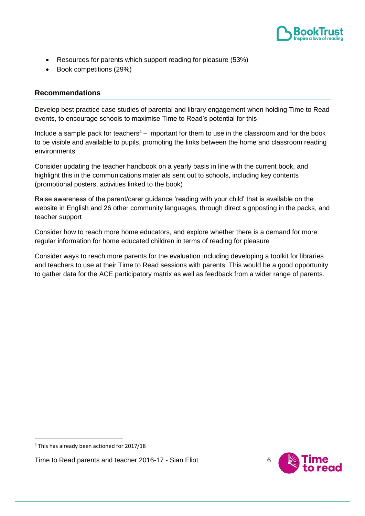

- Resources for parents which support reading for pleasure (53%)
- Book competitions (29%)

#### **Recommendations**

Develop best practice case studies of parental and library engagement when holding Time to Read events, to encourage schools to maximise Time to Read's potential for this

Include a sample pack for teachers<sup>4</sup> – important for them to use in the classroom and for the book to be visible and available to pupils, promoting the links between the home and classroom reading environments

Consider updating the teacher handbook on a yearly basis in line with the current book, and highlight this in the communications materials sent out to schools, including key contents (promotional posters, activities linked to the book)

Raise awareness of the parent/carer guidance 'reading with your child' that is available on the website in English and 26 other community languages, through direct signposting in the packs, and teacher support

Consider how to reach more home educators, and explore whether there is a demand for more regular information for home educated children in terms of reading for pleasure

Consider ways to reach more parents for the evaluation including developing a toolkit for libraries and teachers to use at their Time to Read sessions with parents. This would be a good opportunity to gather data for the ACE participatory matrix as well as feedback from a wider range of parents.

**.** 



<sup>4</sup> This has already been actioned for 2017/18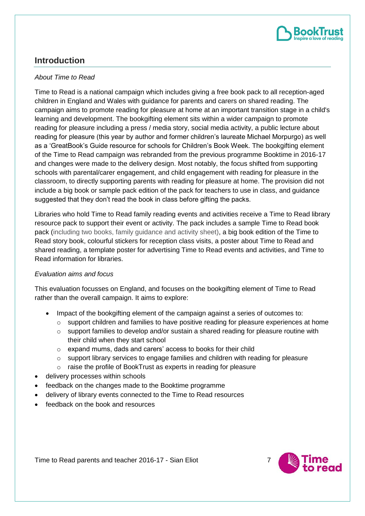

# **Introduction**

#### *About Time to Read*

Time to Read is a national campaign which includes giving a free book pack to all reception-aged children in England and Wales with guidance for parents and carers on shared reading. The campaign aims to promote reading for pleasure at home at an important transition stage in a child's learning and development. The bookgifting element sits within a wider campaign to promote reading for pleasure including a press / media story, social media activity, a public lecture about reading for pleasure (this year by author and former children's laureate Michael Morpurgo) as well as a 'GreatBook's Guide resource for schools for Children's Book Week. The bookgifting element of the Time to Read campaign was rebranded from the previous programme Booktime in 2016-17 and changes were made to the delivery design. Most notably, the focus shifted from supporting schools with parental/carer engagement, and child engagement with reading for pleasure in the classroom, to directly supporting parents with reading for pleasure at home. The provision did not include a big book or sample pack edition of the pack for teachers to use in class, and guidance suggested that they don't read the book in class before gifting the packs.

Libraries who hold Time to Read family reading events and activities receive a Time to Read library resource pack to support their event or activity. The pack includes a sample Time to Read book pack (including two books, family guidance and activity sheet), a big book edition of the Time to Read story book, colourful stickers for reception class visits, a poster about Time to Read and shared reading, a template poster for advertising Time to Read events and activities, and Time to Read information for libraries.

#### *Evaluation aims and focus*

This evaluation focusses on England, and focuses on the bookgifting element of Time to Read rather than the overall campaign. It aims to explore:

- Impact of the bookgifting element of the campaign against a series of outcomes to:
	- $\circ$  support children and families to have positive reading for pleasure experiences at home
	- $\circ$  support families to develop and/or sustain a shared reading for pleasure routine with their child when they start school
	- o expand mums, dads and carers' access to books for their child
	- o support library services to engage families and children with reading for pleasure
	- o raise the profile of BookTrust as experts in reading for pleasure
- delivery processes within schools
- feedback on the changes made to the Booktime programme
- delivery of library events connected to the Time to Read resources
- feedback on the book and resources

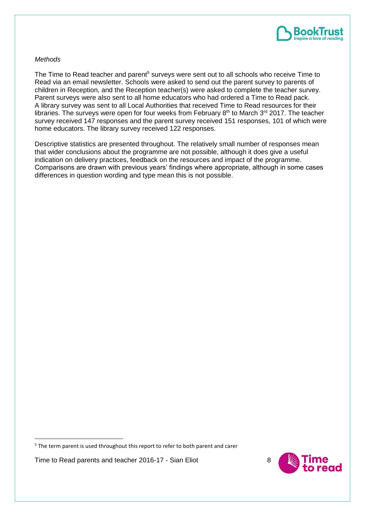

#### *Methods*

The Time to Read teacher and parent<sup>5</sup> surveys were sent out to all schools who receive Time to Read via an email newsletter. Schools were asked to send out the parent survey to parents of children in Reception, and the Reception teacher(s) were asked to complete the teacher survey. Parent surveys were also sent to all home educators who had ordered a Time to Read pack. A library survey was sent to all Local Authorities that received Time to Read resources for their libraries. The surveys were open for four weeks from February  $8<sup>th</sup>$  to March  $3<sup>rd</sup>$  2017. The teacher survey received 147 responses and the parent survey received 151 responses, 101 of which were home educators. The library survey received 122 responses.

Descriptive statistics are presented throughout. The relatively small number of responses mean that wider conclusions about the programme are not possible, although it does give a useful indication on delivery practices, feedback on the resources and impact of the programme. Comparisons are drawn with previous years' findings where appropriate, although in some cases differences in question wording and type mean this is not possible.

Time to Read parents and teacher 2016-17 - Sian Eliot 8

**.** 



 $5$  The term parent is used throughout this report to refer to both parent and carer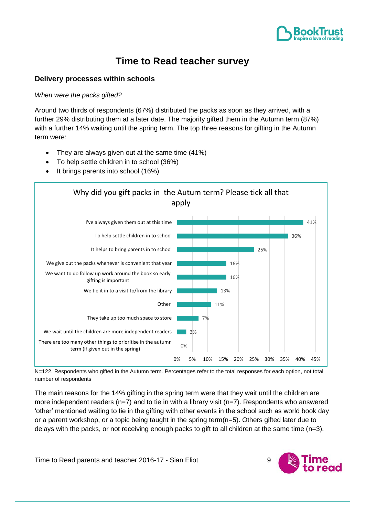

# **Time to Read teacher survey**

## **Delivery processes within schools**

#### *When were the packs gifted?*

Around two thirds of respondents (67%) distributed the packs as soon as they arrived, with a further 29% distributing them at a later date. The majority gifted them in the Autumn term (87%) with a further 14% waiting until the spring term. The top three reasons for gifting in the Autumn term were:

- They are always given out at the same time (41%)
- To help settle children in to school (36%)
- It brings parents into school (16%)



N=122. Respondents who gifted in the Autumn term. Percentages refer to the total responses for each option, not total number of respondents

The main reasons for the 14% gifting in the spring term were that they wait until the children are more independent readers ( $n=7$ ) and to tie in with a library visit ( $n=7$ ). Respondents who answered 'other' mentioned waiting to tie in the gifting with other events in the school such as world book day or a parent workshop, or a topic being taught in the spring term( $n=5$ ). Others gifted later due to delays with the packs, or not receiving enough packs to gift to all children at the same time (n=3).

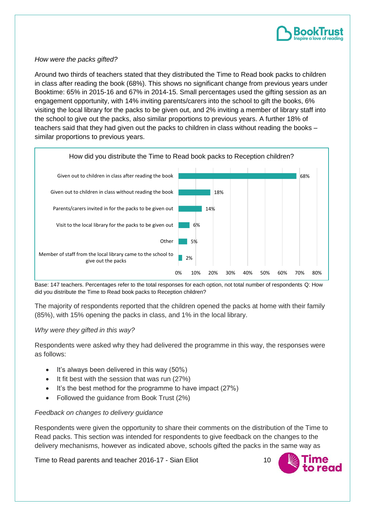

#### *How were the packs gifted?*

Around two thirds of teachers stated that they distributed the Time to Read book packs to children in class after reading the book (68%). This shows no significant change from previous years under Booktime: 65% in 2015-16 and 67% in 2014-15. Small percentages used the gifting session as an engagement opportunity, with 14% inviting parents/carers into the school to gift the books, 6% visiting the local library for the packs to be given out, and 2% inviting a member of library staff into the school to give out the packs, also similar proportions to previous years. A further 18% of teachers said that they had given out the packs to children in class without reading the books – similar proportions to previous years.



Base: 147 teachers. Percentages refer to the total responses for each option, not total number of respondents Q: How did you distribute the Time to Read book packs to Reception children?

The majority of respondents reported that the children opened the packs at home with their family (85%), with 15% opening the packs in class, and 1% in the local library.

#### *Why were they gifted in this way?*

Respondents were asked why they had delivered the programme in this way, the responses were as follows:

- It's always been delivered in this way (50%)
- It fit best with the session that was run (27%)
- It's the best method for the programme to have impact (27%)
- Followed the guidance from Book Trust (2%)

#### *Feedback on changes to delivery guidance*

Respondents were given the opportunity to share their comments on the distribution of the Time to Read packs. This section was intended for respondents to give feedback on the changes to the delivery mechanisms, however as indicated above, schools gifted the packs in the same way as

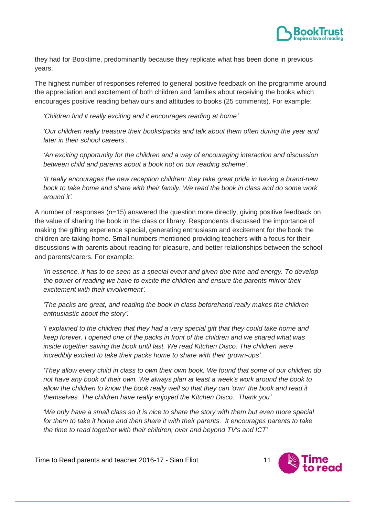

they had for Booktime, predominantly because they replicate what has been done in previous years.

The highest number of responses referred to general positive feedback on the programme around the appreciation and excitement of both children and families about receiving the books which encourages positive reading behaviours and attitudes to books (25 comments). For example:

*'Children find it really exciting and it encourages reading at home'*

*'Our children really treasure their books/packs and talk about them often during the year and later in their school careers'.*

*'An exciting opportunity for the children and a way of encouraging interaction and discussion between child and parents about a book not on our reading scheme'.*

*'It really encourages the new reception children; they take great pride in having a brand-new book to take home and share with their family. We read the book in class and do some work around it'.*

A number of responses (n=15) answered the question more directly, giving positive feedback on the value of sharing the book in the class or library. Respondents discussed the importance of making the gifting experience special, generating enthusiasm and excitement for the book the children are taking home. Small numbers mentioned providing teachers with a focus for their discussions with parents about reading for pleasure, and better relationships between the school and parents/carers. For example:

*'In essence, it has to be seen as a special event and given due time and energy. To develop the power of reading we have to excite the children and ensure the parents mirror their excitement with their involvement'.*

*'The packs are great, and reading the book in class beforehand really makes the children enthusiastic about the story'.*

*'I explained to the children that they had a very special gift that they could take home and keep forever. I opened one of the packs in front of the children and we shared what was inside together saving the book until last. We read Kitchen Disco. The children were incredibly excited to take their packs home to share with their grown-ups'.*

*'They allow every child in class to own their own book. We found that some of our children do not have any book of their own. We always plan at least a week's work around the book to allow the children to know the book really well so that they can 'own' the book and read it themselves. The children have really enjoyed the Kitchen Disco. Thank you'*

*'We only have a small class so it is nice to share the story with them but even more special for them to take it home and then share it with their parents. It encourages parents to take the time to read together with their children, over and beyond TV's and ICT'*

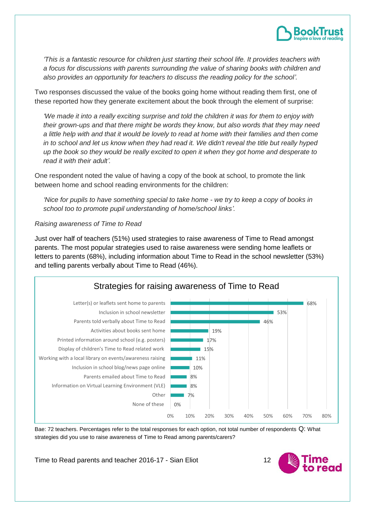

*'This is a fantastic resource for children just starting their school life. It provides teachers with a focus for discussions with parents surrounding the value of sharing books with children and also provides an opportunity for teachers to discuss the reading policy for the school'.*

Two responses discussed the value of the books going home without reading them first, one of these reported how they generate excitement about the book through the element of surprise:

*'We made it into a really exciting surprise and told the children it was for them to enjoy with their grown-ups and that there might be words they know, but also words that they may need a little help with and that it would be lovely to read at home with their families and then come in to school and let us know when they had read it. We didn't reveal the title but really hyped up the book so they would be really excited to open it when they got home and desperate to read it with their adult'.* 

One respondent noted the value of having a copy of the book at school, to promote the link between home and school reading environments for the children:

*'Nice for pupils to have something special to take home - we try to keep a copy of books in school too to promote pupil understanding of home/school links'.*

#### *Raising awareness of Time to Read*

Just over half of teachers (51%) used strategies to raise awareness of Time to Read amongst parents. The most popular strategies used to raise awareness were sending home leaflets or letters to parents (68%), including information about Time to Read in the school newsletter (53%) and telling parents verbally about Time to Read (46%).



Bae: 72 teachers. Percentages refer to the total responses for each option, not total number of respondents Q: What strategies did you use to raise awareness of Time to Read among parents/carers?

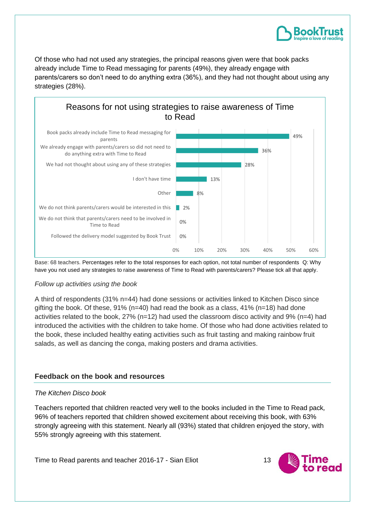

Of those who had not used any strategies, the principal reasons given were that book packs already include Time to Read messaging for parents (49%), they already engage with parents/carers so don't need to do anything extra (36%), and they had not thought about using any strategies (28%).



Base: 68 teachers. Percentages refer to the total responses for each option, not total number of respondents Q: Why have you not used any strategies to raise awareness of Time to Read with parents/carers? Please tick all that apply.

#### *Follow up activities using the book*

A third of respondents (31% n=44) had done sessions or activities linked to Kitchen Disco since gifting the book. Of these,  $91\%$  (n=40) had read the book as a class,  $41\%$  (n=18) had done activities related to the book, 27% (n=12) had used the classroom disco activity and 9% (n=4) had introduced the activities with the children to take home. Of those who had done activities related to the book, these included healthy eating activities such as fruit tasting and making rainbow fruit salads, as well as dancing the conga, making posters and drama activities.

#### **Feedback on the book and resources**

#### *The Kitchen Disco book*

Teachers reported that children reacted very well to the books included in the Time to Read pack*,* 96% of teachers reported that children showed excitement about receiving this book, with 63% strongly agreeing with this statement. Nearly all (93%) stated that children enjoyed the story, with 55% strongly agreeing with this statement.

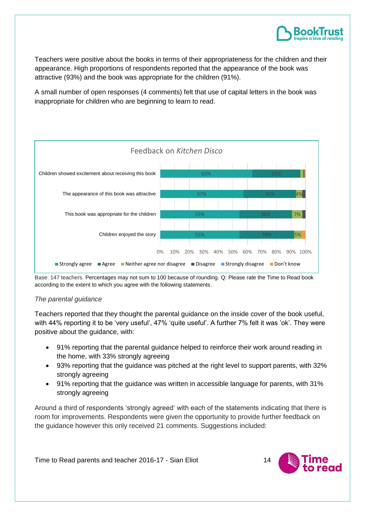

Teachers were positive about the books in terms of their appropriateness for the children and their appearance. High proportions of respondents reported that the appearance of the book was attractive (93%) and the book was appropriate for the children (91%).

A small number of open responses (4 comments) felt that use of capital letters in the book was inappropriate for children who are beginning to learn to read.



Base: 147 teachers. Percentages may not sum to 100 because of rounding. Q: Please rate the Time to Read book according to the extent to which you agree with the following statements.

#### *The parental guidance*

Teachers reported that they thought the parental guidance on the inside cover of the book useful, with 44% reporting it to be 'very useful', 47% 'quite useful'. A further 7% felt it was 'ok'. They were positive about the guidance, with:

- 91% reporting that the parental guidance helped to reinforce their work around reading in the home, with 33% strongly agreeing
- 93% reporting that the guidance was pitched at the right level to support parents, with 32% strongly agreeing
- 91% reporting that the guidance was written in accessible language for parents, with 31% strongly agreeing

Around a third of respondents 'strongly agreed' with each of the statements indicating that there is room for improvements. Respondents were given the opportunity to provide further feedback on the guidance however this only received 21 comments. Suggestions included:

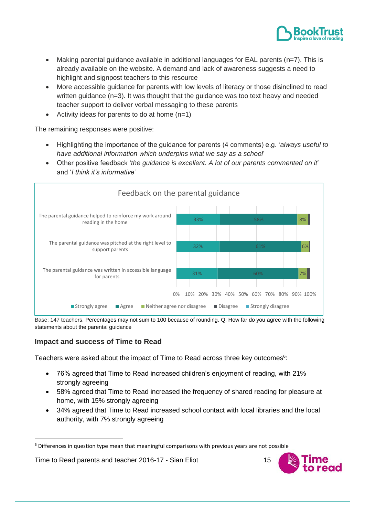

- Making parental quidance available in additional languages for EAL parents  $(n=7)$ . This is already available on the website. A demand and lack of awareness suggests a need to highlight and signpost teachers to this resource
- More accessible guidance for parents with low levels of literacy or those disinclined to read written guidance (n=3). It was thought that the guidance was too text heavy and needed teacher support to deliver verbal messaging to these parents
- Activity ideas for parents to do at home  $(n=1)$

The remaining responses were positive:

- Highlighting the importance of the guidance for parents (4 comments) e.g. '*always useful to have additional information which underpins what we say as a school*'
- Other positive feedback '*the guidance is excellent. A lot of our parents commented on it*' and '*I think it's informative'*



Base: 147 teachers. Percentages may not sum to 100 because of rounding. Q: How far do you agree with the following statements about the parental guidance

## **Impact and success of Time to Read**

**.** 

Teachers were asked about the impact of Time to Read across three key outcomes $6$ :

- 76% agreed that Time to Read increased children's enjoyment of reading, with 21% strongly agreeing
- 58% agreed that Time to Read increased the frequency of shared reading for pleasure at home, with 15% strongly agreeing
- 34% agreed that Time to Read increased school contact with local libraries and the local authority, with 7% strongly agreeing



 $6$  Differences in question type mean that meaningful comparisons with previous years are not possible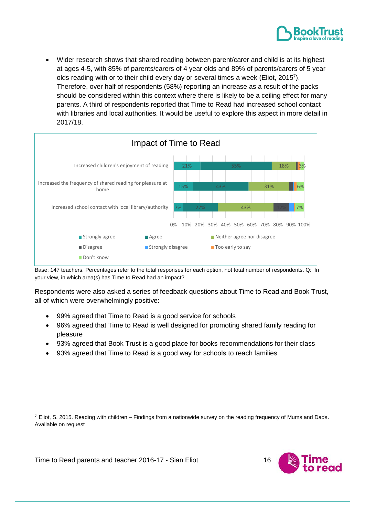• Wider research shows that shared reading between parent/carer and child is at its highest at ages 4-5, with 85% of parents/carers of 4 year olds and 89% of parents/carers of 5 year olds reading with or to their child every day or several times a week (Eliot, 2015<sup>7</sup>). Therefore, over half of respondents (58%) reporting an increase as a result of the packs should be considered within this context where there is likely to be a ceiling effect for many parents. A third of respondents reported that Time to Read had increased school contact with libraries and local authorities. It would be useful to explore this aspect in more detail in 2017/18.



Base: 147 teachers. Percentages refer to the total responses for each option, not total number of respondents. Q: In your view, in which area(s) has Time to Read had an impact?

Respondents were also asked a series of feedback questions about Time to Read and Book Trust, all of which were overwhelmingly positive:

- 99% agreed that Time to Read is a good service for schools
- 96% agreed that Time to Read is well designed for promoting shared family reading for pleasure
- 93% agreed that Book Trust is a good place for books recommendations for their class
- 93% agreed that Time to Read is a good way for schools to reach families

Time to Read parents and teacher 2016-17 - Sian Eliot 16

**.** 



 $^7$  Eliot, S. 2015. Reading with children – Findings from a nationwide survey on the reading frequency of Mums and Dads. Available on request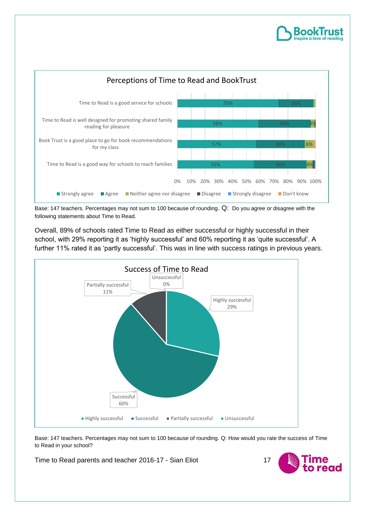



Base: 147 teachers. Percentages may not sum to 100 because of rounding. Q: Do you agree or disagree with the following statements about Time to Read.

Overall, 89% of schools rated Time to Read as either successful or highly successful in their school, with 29% reporting it as 'highly successful' and 60% reporting it as 'quite successful'. A further 11% rated it as 'partly successful'. This was in line with success ratings in previous years.



Base: 147 teachers. Percentages may not sum to 100 because of rounding. Q: How would you rate the success of Time to Read in your school?

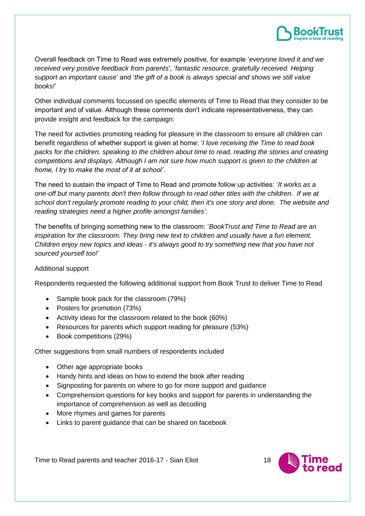

Overall feedback on Time to Read was extremely positive, for example '*everyone loved it and we received very positive feedback from parents*', '*fantastic resource, gratefully received. Helping support an important cause*' and '*the gift of a book is always special and shows we still value books!*'

Other individual comments focussed on specific elements of Time to Read that they consider to be important and of value. Although these comments don't indicate representativeness, they can provide insight and feedback for the campaign:

The need for activities promoting reading for pleasure in the classroom to ensure all children can benefit regardless of whether support is given at home: '*I love receiving the Time to read book packs for the children. speaking to the children about time to read, reading the stories and creating competitions and displays. Although I am not sure how much support is given to the children at home, I try to make the most of it at school'*.

The need to sustain the impact of Time to Read and promote follow up activities: '*It works as a one-off but many parents don't then follow through to read other titles with the children. If we at school don't regularly promote reading to your child, then it's one story and done. The website and reading strategies need a higher profile amongst families'*.

The benefits of bringing something new to the classroom: '*BookTrust and Time to Read are an inspiration for the classroom. They bring new text to children and usually have a fun element. Children enjoy new topics and ideas - it's always good to try something new that you have not sourced yourself too!*'

#### Additional support

Respondents requested the following additional support from Book Trust to deliver Time to Read

- Sample book pack for the classroom (79%)
- Posters for promotion (73%)
- Activity ideas for the classroom related to the book (60%)
- Resources for parents which support reading for pleasure (53%)
- Book competitions (29%)

Other suggestions from small numbers of respondents included

- Other age appropriate books
- Handy hints and ideas on how to extend the book after reading
- Signposting for parents on where to go for more support and guidance
- Comprehension questions for key books and support for parents in understanding the importance of comprehension as well as decoding
- More rhymes and games for parents
- Links to parent guidance that can be shared on facebook

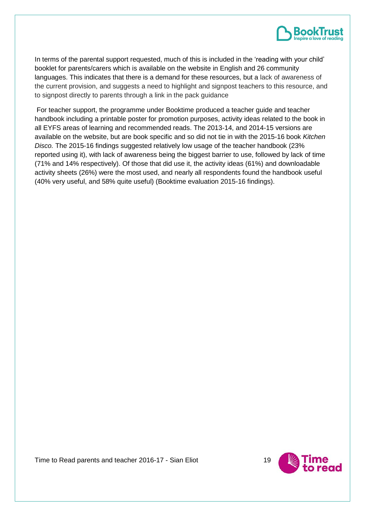

In terms of the parental support requested, much of this is included in the 'reading with your child' booklet for parents/carers which is available on the website in English and 26 community languages. This indicates that there is a demand for these resources, but a lack of awareness of the current provision, and suggests a need to highlight and signpost teachers to this resource, and to signpost directly to parents through a link in the pack guidance

For teacher support, the programme under Booktime produced a teacher guide and teacher handbook including a printable poster for promotion purposes, activity ideas related to the book in all EYFS areas of learning and recommended reads. The 2013-14, and 2014-15 versions are available on the website, but are book specific and so did not tie in with the 2015-16 book *Kitchen Disco.* The 2015-16 findings suggested relatively low usage of the teacher handbook (23% reported using it), with lack of awareness being the biggest barrier to use, followed by lack of time (71% and 14% respectively). Of those that did use it, the activity ideas (61%) and downloadable activity sheets (26%) were the most used, and nearly all respondents found the handbook useful (40% very useful, and 58% quite useful) (Booktime evaluation 2015-16 findings).

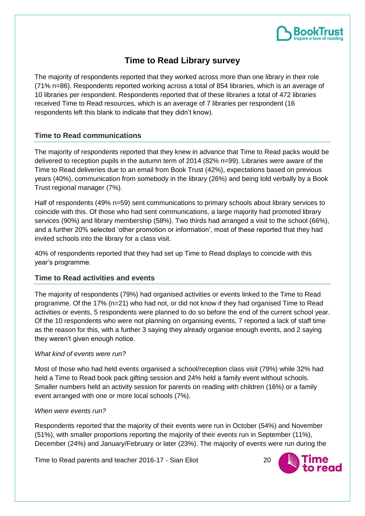

# **Time to Read Library survey**

The majority of respondents reported that they worked across more than one library in their role (71% n=86). Respondents reported working across a total of 854 libraries, which is an average of 10 libraries per respondent. Respondents reported that of these libraries a total of 472 libraries received Time to Read resources, which is an average of 7 libraries per respondent (16 respondents left this blank to indicate that they didn't know).

## **Time to Read communications**

The majority of respondents reported that they knew in advance that Time to Read packs would be delivered to reception pupils in the autumn term of 2014 (82% n=99). Libraries were aware of the Time to Read deliveries due to an email from Book Trust (42%), expectations based on previous years (40%), communication from somebody in the library (26%) and being told verbally by a Book Trust regional manager (7%).

Half of respondents (49% n=59) sent communications to primary schools about library services to coincide with this. Of those who had sent communications, a large majority had promoted library services (90%) and library membership (58%). Two thirds had arranged a visit to the school (66%), and a further 20% selected 'other promotion or information', most of these reported that they had invited schools into the library for a class visit.

40% of respondents reported that they had set up Time to Read displays to coincide with this year's programme.

## **Time to Read activities and events**

The majority of respondents (79%) had organised activities or events linked to the Time to Read programme. Of the 17% (n=21) who had not, or did not know if they had organised Time to Read activities or events, 5 respondents were planned to do so before the end of the current school year. Of the 10 respondents who were not planning on organising events, 7 reported a lack of staff time as the reason for this, with a further 3 saying they already organise enough events, and 2 saying they weren't given enough notice.

#### *What kind of events were run?*

Most of those who had held events organised a school/reception class visit (79%) while 32% had held a Time to Read book pack gifting session and 24% held a family event without schools. Smaller numbers held an activity session for parents on reading with children (16%) or a family event arranged with one or more local schools (7%).

#### *When were events run?*

Respondents reported that the majority of their events were run in October (54%) and November (51%), with smaller proportions reporting the majority of their events run in September (11%), December (24%) and January/February or later (23%). The majority of events were run during the

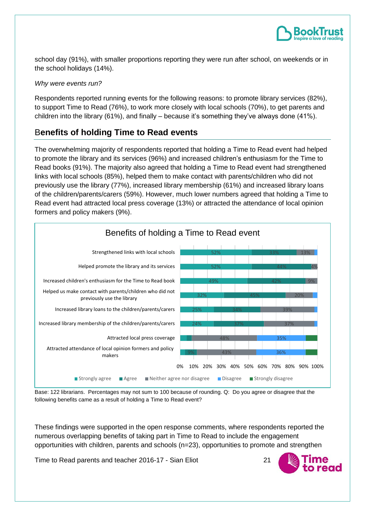

school day (91%), with smaller proportions reporting they were run after school, on weekends or in the school holidays (14%).

#### *Why were events run?*

Respondents reported running events for the following reasons: to promote library services (82%), to support Time to Read (76%), to work more closely with local schools (70%), to get parents and children into the library (61%), and finally – because it's something they've always done (41%).

## B**enefits of holding Time to Read events**

The overwhelming majority of respondents reported that holding a Time to Read event had helped to promote the library and its services (96%) and increased children's enthusiasm for the Time to Read books (91%). The majority also agreed that holding a Time to Read event had strengthened links with local schools (85%), helped them to make contact with parents/children who did not previously use the library (77%), increased library membership (61%) and increased library loans of the children/parents/carers (59%). However, much lower numbers agreed that holding a Time to Read event had attracted local press coverage (13%) or attracted the attendance of local opinion formers and policy makers (9%).



Base: 122 librarians. Percentages may not sum to 100 because of rounding. Q: Do you agree or disagree that the following benefits came as a result of holding a Time to Read event?

These findings were supported in the open response comments, where respondents reported the numerous overlapping benefits of taking part in Time to Read to include the engagement opportunities with children, parents and schools (n=23), opportunities to promote and strengthen

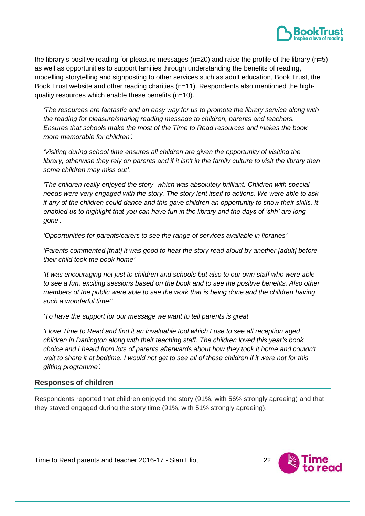

the library's positive reading for pleasure messages (n=20) and raise the profile of the library (n=5) as well as opportunities to support families through understanding the benefits of reading, modelling storytelling and signposting to other services such as adult education, Book Trust, the Book Trust website and other reading charities (n=11). Respondents also mentioned the highquality resources which enable these benefits (n=10).

*'The resources are fantastic and an easy way for us to promote the library service along with the reading for pleasure/sharing reading message to children, parents and teachers. Ensures that schools make the most of the Time to Read resources and makes the book more memorable for children'.*

*'Visiting during school time ensures all children are given the opportunity of visiting the library, otherwise they rely on parents and if it isn't in the family culture to visit the library then some children may miss out'.*

*'The children really enjoyed the story- which was absolutely brilliant. Children with special needs were very engaged with the story. The story lent itself to actions. We were able to ask if any of the children could dance and this gave children an opportunity to show their skills. It enabled us to highlight that you can have fun in the library and the days of 'shh' are long gone'.*

*'Opportunities for parents/carers to see the range of services available in libraries'*

*'Parents commented [that] it was good to hear the story read aloud by another [adult] before their child took the book home'*

*'It was encouraging not just to children and schools but also to our own staff who were able to see a fun, exciting sessions based on the book and to see the positive benefits. Also other members of the public were able to see the work that is being done and the children having such a wonderful time!'*

*'To have the support for our message we want to tell parents is great'*

*'I love Time to Read and find it an invaluable tool which I use to see all reception aged children in Darlington along with their teaching staff. The children loved this year's book choice and I heard from lots of parents afterwards about how they took it home and couldn't wait to share it at bedtime. I would not get to see all of these children if it were not for this gifting programme'.*

#### **Responses of children**

Respondents reported that children enjoyed the story (91%, with 56% strongly agreeing) and that they stayed engaged during the story time (91%, with 51% strongly agreeing).

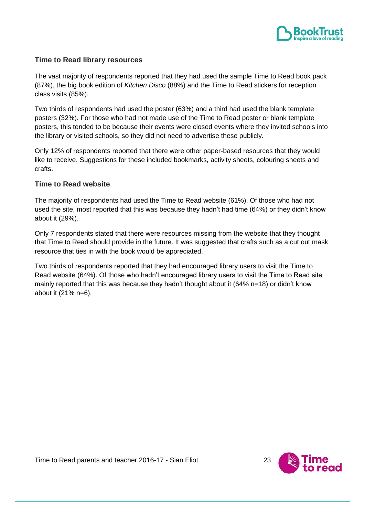

## **Time to Read library resources**

The vast majority of respondents reported that they had used the sample Time to Read book pack (87%), the big book edition of *Kitchen Disco* (88%) and the Time to Read stickers for reception class visits (85%).

Two thirds of respondents had used the poster (63%) and a third had used the blank template posters (32%). For those who had not made use of the Time to Read poster or blank template posters, this tended to be because their events were closed events where they invited schools into the library or visited schools, so they did not need to advertise these publicly.

Only 12% of respondents reported that there were other paper-based resources that they would like to receive. Suggestions for these included bookmarks, activity sheets, colouring sheets and crafts.

#### **Time to Read website**

The majority of respondents had used the Time to Read website (61%). Of those who had not used the site, most reported that this was because they hadn't had time (64%) or they didn't know about it (29%).

Only 7 respondents stated that there were resources missing from the website that they thought that Time to Read should provide in the future. It was suggested that crafts such as a cut out mask resource that ties in with the book would be appreciated.

Two thirds of respondents reported that they had encouraged library users to visit the Time to Read website (64%). Of those who hadn't encouraged library users to visit the Time to Read site mainly reported that this was because they hadn't thought about it (64% n=18) or didn't know about it (21% n=6).

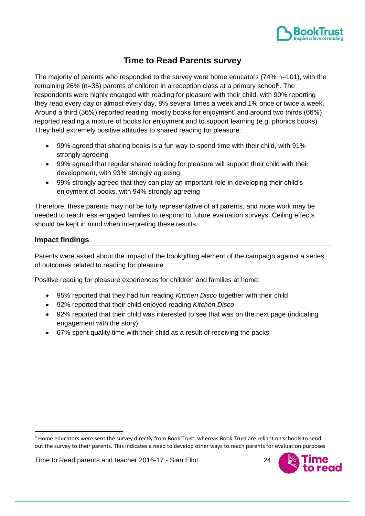

# **Time to Read Parents survey**

The majority of parents who responded to the survey were home educators (74% n=101), with the remaining 26% ( $n=35$ ) parents of children in a reception class at a primary school<sup>8</sup>. The respondents were highly engaged with reading for pleasure with their child, with 90% reporting they read every day or almost every day, 8% several times a week and 1% once or twice a week. Around a third (36%) reported reading 'mostly books for enjoyment' and around two thirds (66%) reported reading a mixture of books for enjoyment and to support learning (e.g. phonics books). They held extremely positive attitudes to shared reading for pleasure:

- 99% agreed that sharing books is a fun way to spend time with their child, with 91% strongly agreeing
- 99% agreed that regular shared reading for pleasure will support their child with their development, with 93% strongly agreeing
- 99% strongly agreed that they can play an important role in developing their child's enjoyment of books, with 94% strongly agreeing

Therefore, these parents may not be fully representative of all parents, and more work may be needed to reach less engaged families to respond to future evaluation surveys. Ceiling effects should be kept in mind when interpreting these results.

## **Impact findings**

1

Parents were asked about the impact of the bookgifting element of the campaign against a series of outcomes related to reading for pleasure.

Positive reading for pleasure experiences for children and families at home:

- 95% reported that they had fun reading *Kitchen Disco* together with their child
- 92% reported that their child enjoyed reading *Kitchen Disco*
- 92% reported that their child was interested to see that was on the next page (indicating engagement with the story)
- 67% spent quality time with their child as a result of receiving the packs



<sup>&</sup>lt;sup>8</sup> Home educators were sent the survey directly from Book Trust, whereas Book Trust are reliant on schools to send out the survey to their parents. This indicates a need to develop other ways to reach parents for evaluation purposes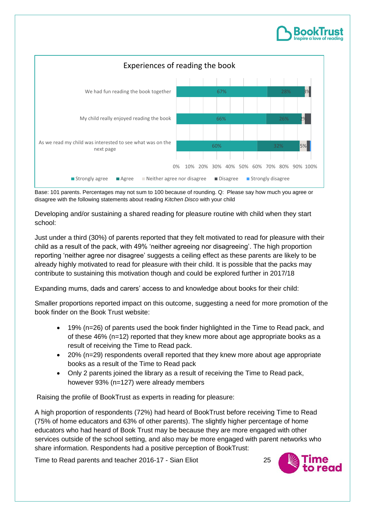

Base: 101 parents. Percentages may not sum to 100 because of rounding. Q: Please say how much you agree or disagree with the following statements about reading *Kitchen Disco* with your child

Developing and/or sustaining a shared reading for pleasure routine with child when they start school:

Just under a third (30%) of parents reported that they felt motivated to read for pleasure with their child as a result of the pack, with 49% 'neither agreeing nor disagreeing'. The high proportion reporting 'neither agree nor disagree' suggests a ceiling effect as these parents are likely to be already highly motivated to read for pleasure with their child. It is possible that the packs may contribute to sustaining this motivation though and could be explored further in 2017/18

Expanding mums, dads and carers' access to and knowledge about books for their child:

Smaller proportions reported impact on this outcome, suggesting a need for more promotion of the book finder on the Book Trust website:

- 19% (n=26) of parents used the book finder highlighted in the Time to Read pack, and of these 46% (n=12) reported that they knew more about age appropriate books as a result of receiving the Time to Read pack.
- 20% (n=29) respondents overall reported that they knew more about age appropriate books as a result of the Time to Read pack
- Only 2 parents joined the library as a result of receiving the Time to Read pack, however 93% (n=127) were already members

Raising the profile of BookTrust as experts in reading for pleasure:

A high proportion of respondents (72%) had heard of BookTrust before receiving Time to Read (75% of home educators and 63% of other parents). The slightly higher percentage of home educators who had heard of Book Trust may be because they are more engaged with other services outside of the school setting, and also may be more engaged with parent networks who share information. Respondents had a positive perception of BookTrust:

Time to Read parents and teacher 2016-17 - Sian Eliot 25



RookT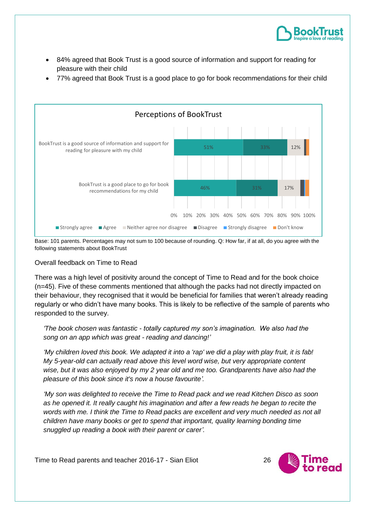

- 84% agreed that Book Trust is a good source of information and support for reading for pleasure with their child
- 77% agreed that Book Trust is a good place to go for book recommendations for their child



Base: 101 parents. Percentages may not sum to 100 because of rounding. Q: How far, if at all, do you agree with the following statements about BookTrust

#### Overall feedback on Time to Read

There was a high level of positivity around the concept of Time to Read and for the book choice (n=45). Five of these comments mentioned that although the packs had not directly impacted on their behaviour, they recognised that it would be beneficial for families that weren't already reading regularly or who didn't have many books. This is likely to be reflective of the sample of parents who responded to the survey.

*'The book chosen was fantastic - totally captured my son's imagination. We also had the song on an app which was great - reading and dancing!'*

*'My children loved this book. We adapted it into a 'rap' we did a play with play fruit, it is fab! My 5-year-old can actually read above this level word wise, but very appropriate content wise, but it was also enjoyed by my 2 year old and me too. Grandparents have also had the pleasure of this book since it's now a house favourite'.*

*'My son was delighted to receive the Time to Read pack and we read Kitchen Disco as soon as he opened it. It really caught his imagination and after a few reads he began to recite the words with me. I think the Time to Read packs are excellent and very much needed as not all children have many books or get to spend that important, quality learning bonding time snuggled up reading a book with their parent or carer'.*

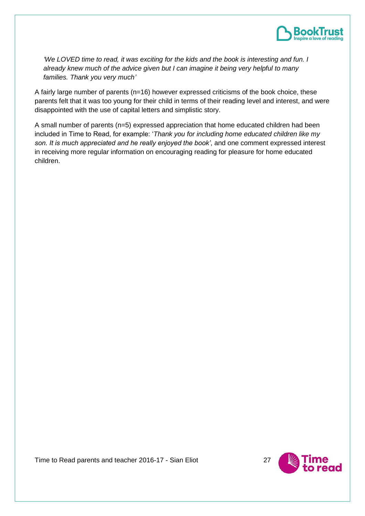

*'We LOVED time to read, it was exciting for the kids and the book is interesting and fun. I already knew much of the advice given but I can imagine it being very helpful to many families. Thank you very much'*

A fairly large number of parents (n=16) however expressed criticisms of the book choice, these parents felt that it was too young for their child in terms of their reading level and interest, and were disappointed with the use of capital letters and simplistic story.

A small number of parents (n=5) expressed appreciation that home educated children had been included in Time to Read, for example: '*Thank you for including home educated children like my son. It is much appreciated and he really enjoyed the book'*, and one comment expressed interest in receiving more regular information on encouraging reading for pleasure for home educated children.